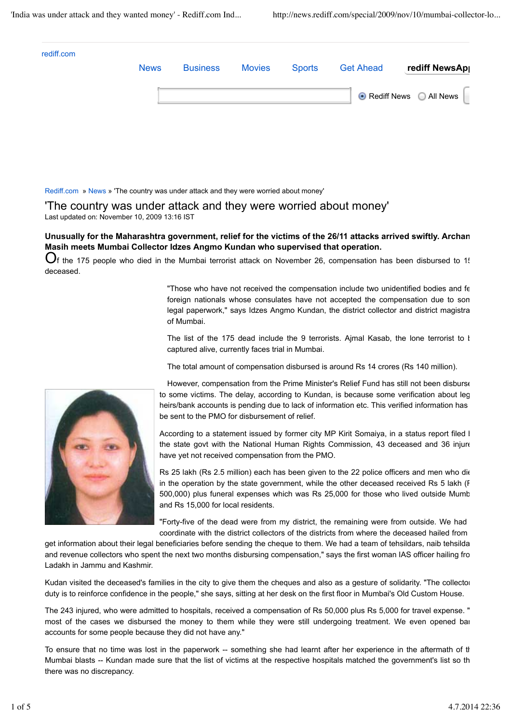| <b>News</b> | <b>Business</b> | <b>Movies</b> | <b>Sports</b> | <b>Get Ahead</b>         | rediff NewsAp |
|-------------|-----------------|---------------|---------------|--------------------------|---------------|
|             |                 |               |               | ● Rediff News ○ All News |               |

Rediff.com » News » 'The country was under attack and they were worried about money'

'The country was under attack and they were worried about money' Last updated on: November 10, 2009 13:16 IST

**Unusually for the Maharashtra government, relief for the victims of the 26/11 attacks arrived swiftly. Archana Masih meets Mumbai Collector Idzes Angmo Kundan who supervised that operation.**

 $O_f$  the 175 people who died in the Mumbai terrorist attack on November 26, compensation has been disbursed to 1! deceased.

> "Those who have not received the compensation include two unidentified bodies and few foreign nationals whose consulates have not accepted the compensation due to some legal paperwork," says Idzes Angmo Kundan, the district collector and district magistra of Mumbai.

> The list of the 175 dead include the 9 terrorists. Ajmal Kasab, the lone terrorist to  $l$ captured alive, currently faces trial in Mumbai.

The total amount of compensation disbursed is around Rs 14 crores (Rs 140 million).

However, compensation from the Prime Minister's Relief Fund has still not been disburse to some victims. The delay, according to Kundan, is because some verification about leg heirs/bank accounts is pending due to lack of information etc. This verified information has be sent to the PMO for disbursement of relief.

According to a statement issued by former city MP Kirit Somaiya, in a status report filed I the state govt with the National Human Rights Commission, 43 deceased and 36 injure have yet not received compensation from the PMO.

Rs 25 lakh (Rs 2.5 million) each has been given to the 22 police officers and men who die in the operation by the state government, while the other deceased received Rs 5 lakh (F 500,000) plus funeral expenses which was Rs 25,000 for those who lived outside Mumb and Rs 15,000 for local residents.

"Forty-five of the dead were from my district, the remaining were from outside. We had coordinate with the district collectors of the districts from where the deceased hailed from

get information about their legal beneficiaries before sending the cheque to them. We had a team of tehsildars, naib tehsildars and revenue collectors who spent the next two months disbursing compensation," says the first woman IAS officer hailing fro Ladakh in Jammu and Kashmir.

Kudan visited the deceased's families in the city to give them the cheques and also as a gesture of solidarity. "The collector duty is to reinforce confidence in the people," she says, sitting at her desk on the first floor in Mumbai's Old Custom House.

The 243 injured, who were admitted to hospitals, received a compensation of Rs 50,000 plus Rs 5,000 for travel expense. " most of the cases we disbursed the money to them while they were still undergoing treatment. We even opened bai accounts for some people because they did not have any."

To ensure that no time was lost in the paperwork -- something she had learnt after her experience in the aftermath of the Mumbai blasts -- Kundan made sure that the list of victims at the respective hospitals matched the government's list so th there was no discrepancy.